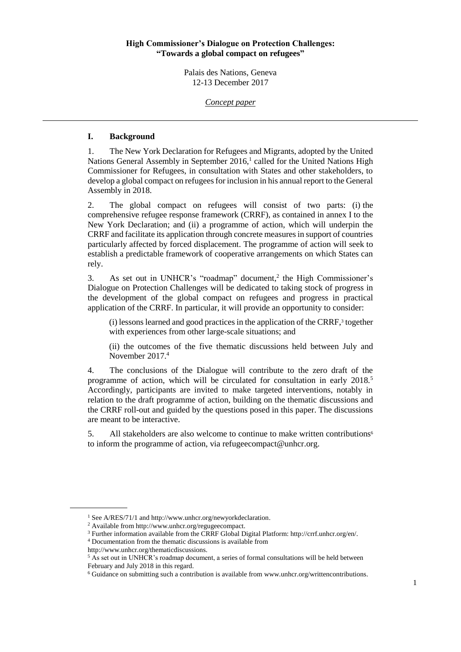#### **High Commissioner's Dialogue on Protection Challenges: "Towards a global compact on refugees"**

Palais des Nations, Geneva 12-13 December 2017

*Concept paper*

#### **I. Background**

1. The New York Declaration for Refugees and Migrants, adopted by the United Nations General Assembly in September  $2016<sup>1</sup>$  called for the United Nations High Commissioner for Refugees, in consultation with States and other stakeholders, to develop a global compact on refugees for inclusion in his annual report to the General Assembly in 2018.

2. The global compact on refugees will consist of two parts: (i) the comprehensive refugee response framework (CRRF), as contained in annex I to the New York Declaration; and (ii) a programme of action, which will underpin the CRRF and facilitate its application through concrete measures in support of countries particularly affected by forced displacement. The programme of action will seek to establish a predictable framework of cooperative arrangements on which States can rely.

3. As set out in UNHCR's "roadmap" document,<sup>2</sup> the High Commissioner's Dialogue on Protection Challenges will be dedicated to taking stock of progress in the development of the global compact on refugees and progress in practical application of the CRRF. In particular, it will provide an opportunity to consider:

(i) lessons learned and good practices in the application of the CRRF,<sup>3</sup> together with experiences from other large-scale situations; and

(ii) the outcomes of the five thematic discussions held between July and November 2017. 4

4. The conclusions of the Dialogue will contribute to the zero draft of the programme of action, which will be circulated for consultation in early  $2018$ <sup>5</sup> Accordingly, participants are invited to make targeted interventions, notably in relation to the draft programme of action, building on the thematic discussions and the CRRF roll-out and guided by the questions posed in this paper. The discussions are meant to be interactive.

5. All stakeholders are also welcome to continue to make written contributions<sup>6</sup> to inform the programme of action, via [refugeecompact@unhcr.org.](mailto:refugeecompact@unhcr.org) 

<sup>&</sup>lt;sup>1</sup> See A/RES/71/1 an[d http://www.unhcr.org/newyorkdeclaration.](http://www.unhcr.org/newyorkdeclaration)

<sup>2</sup> Available from http://www.unhcr.org/regugeecompact.

<sup>3</sup> Further information available from the CRRF Global Digital Platform: http://crrf.unhcr.org/en/.

<sup>4</sup> Documentation from the thematic discussions is available from

http://www.unhcr.org/thematicdiscussions.

<sup>&</sup>lt;sup>5</sup> As set out in UNHCR's roadmap document, a series of formal consultations will be held between February and July 2018 in this regard.

<sup>6</sup> Guidance on submitting such a contribution is available from [www.unhcr.org/writtencontributions.](http://www.unhcr.org/writtencontributions)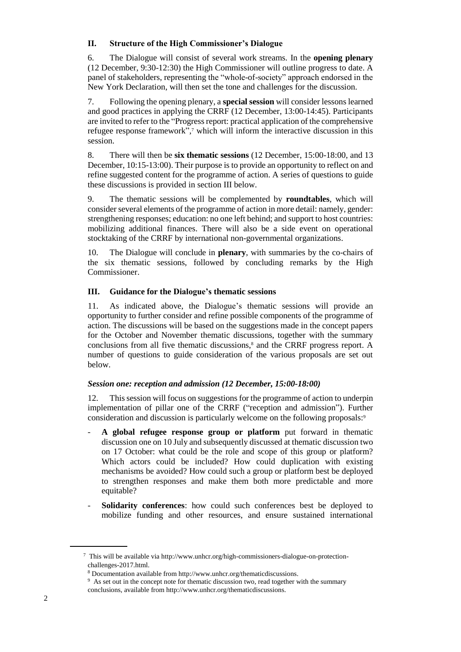# **II. Structure of the High Commissioner's Dialogue**

6. The Dialogue will consist of several work streams. In the **opening plenary** (12 December, 9:30-12:30) the High Commissioner will outline progress to date. A panel of stakeholders, representing the "whole-of-society" approach endorsed in the New York Declaration, will then set the tone and challenges for the discussion.

7. Following the opening plenary, a **special session** will consider lessons learned and good practices in applying the CRRF (12 December, 13:00-14:45). Participants are invited to refer to the "Progress report: practical application of the comprehensive refugee response framework", <sup>7</sup> which will inform the interactive discussion in this session.

8. There will then be **six thematic sessions** (12 December, 15:00-18:00, and 13 December, 10:15-13:00). Their purpose is to provide an opportunity to reflect on and refine suggested content for the programme of action. A series of questions to guide these discussions is provided in section III below.

9. The thematic sessions will be complemented by **roundtables**, which will consider several elements of the programme of action in more detail: namely, gender: strengthening responses; education: no one left behind; and support to host countries: mobilizing additional finances. There will also be a side event on operational stocktaking of the CRRF by international non-governmental organizations.

10. The Dialogue will conclude in **plenary**, with summaries by the co-chairs of the six thematic sessions, followed by concluding remarks by the High Commissioner.

# **III. Guidance for the Dialogue's thematic sessions**

11. As indicated above, the Dialogue's thematic sessions will provide an opportunity to further consider and refine possible components of the programme of action. The discussions will be based on the suggestions made in the concept papers for the October and November thematic discussions, together with the summary conclusions from all five thematic discussions,<sup>8</sup> and the CRRF progress report. A number of questions to guide consideration of the various proposals are set out below.

### *Session one: reception and admission (12 December, 15:00-18:00)*

12. This session will focus on suggestions for the programme of action to underpin implementation of pillar one of the CRRF ("reception and admission"). Further consideration and discussion is particularly welcome on the following proposals: 9

- **A global refugee response group or platform** put forward in thematic discussion one on 10 July and subsequently discussed at thematic discussion two on 17 October: what could be the role and scope of this group or platform? Which actors could be included? How could duplication with existing mechanisms be avoided? How could such a group or platform best be deployed to strengthen responses and make them both more predictable and more equitable?
- **Solidarity conferences**: how could such conferences best be deployed to mobilize funding and other resources, and ensure sustained international

<sup>7</sup> This will be available via http://www.unhcr.org/high-commissioners-dialogue-on-protectionchallenges-2017.html.

<sup>8</sup> Documentation available from [http://www.unhcr.org/thematicdiscussions.](http://www.unhcr.org/thematicdiscussions-for-the-global-compact-on-refugees.html.)

<sup>&</sup>lt;sup>9</sup> As set out in the concept note for thematic discussion two, read together with the summary conclusions, available from [http://www.unhcr.org/thematicdiscussions.](http://www.unhcr.org/thematicdiscussions-for-the-global-compact-on-refugees.html.)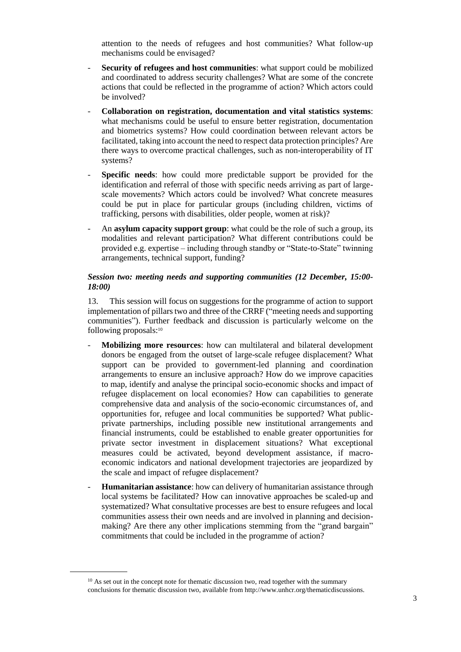attention to the needs of refugees and host communities? What follow-up mechanisms could be envisaged?

- **Security of refugees and host communities**: what support could be mobilized and coordinated to address security challenges? What are some of the concrete actions that could be reflected in the programme of action? Which actors could be involved?
- **Collaboration on registration, documentation and vital statistics systems**: what mechanisms could be useful to ensure better registration, documentation and biometrics systems? How could coordination between relevant actors be facilitated, taking into account the need to respect data protection principles? Are there ways to overcome practical challenges, such as non-interoperability of IT systems?
- Specific needs: how could more predictable support be provided for the identification and referral of those with specific needs arriving as part of largescale movements? Which actors could be involved? What concrete measures could be put in place for particular groups (including children, victims of trafficking, persons with disabilities, older people, women at risk)?
- An **asylum capacity support group**: what could be the role of such a group, its modalities and relevant participation? What different contributions could be provided e.g. expertise – including through standby or "State-to-State" twinning arrangements, technical support, funding?

### *Session two: meeting needs and supporting communities (12 December, 15:00- 18:00)*

13. This session will focus on suggestions for the programme of action to support implementation of pillars two and three of the CRRF ("meeting needs and supporting communities"). Further feedback and discussion is particularly welcome on the following proposals: 10

- **Mobilizing more resources**: how can multilateral and bilateral development donors be engaged from the outset of large-scale refugee displacement? What support can be provided to government-led planning and coordination arrangements to ensure an inclusive approach? How do we improve capacities to map, identify and analyse the principal socio-economic shocks and impact of refugee displacement on local economies? How can capabilities to generate comprehensive data and analysis of the socio-economic circumstances of, and opportunities for, refugee and local communities be supported? What publicprivate partnerships, including possible new institutional arrangements and financial instruments, could be established to enable greater opportunities for private sector investment in displacement situations? What exceptional measures could be activated, beyond development assistance, if macroeconomic indicators and national development trajectories are jeopardized by the scale and impact of refugee displacement?
- **Humanitarian assistance**: how can delivery of humanitarian assistance through local systems be facilitated? How can innovative approaches be scaled-up and systematized? What consultative processes are best to ensure refugees and local communities assess their own needs and are involved in planning and decisionmaking? Are there any other implications stemming from the "grand bargain" commitments that could be included in the programme of action?

 $10$  As set out in the concept note for thematic discussion two, read together with the summary conclusions for thematic discussion two, available from [http://www.unhcr.org/thematicdiscussions.](http://www.unhcr.org/thematicdiscussions-for-the-global-compact-on-refugees.html.)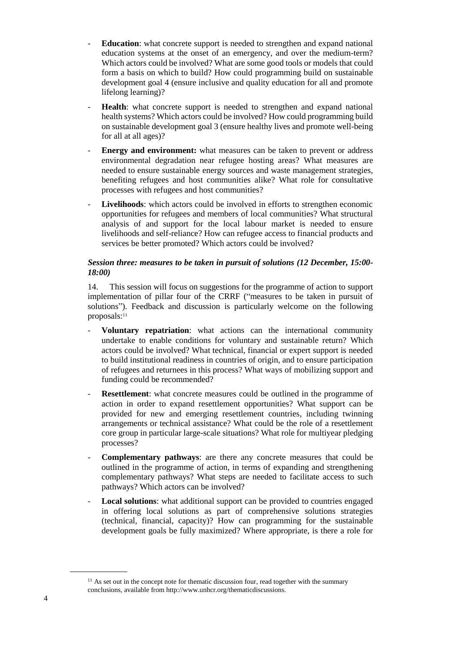- **Education**: what concrete support is needed to strengthen and expand national education systems at the onset of an emergency, and over the medium-term? Which actors could be involved? What are some good tools or models that could form a basis on which to build? How could programming build on sustainable development goal 4 (ensure inclusive and quality education for all and promote lifelong learning)?
- **Health**: what concrete support is needed to strengthen and expand national health systems? Which actors could be involved? How could programming build on sustainable development goal 3 (ensure healthy lives and promote well-being for all at all ages)?
- **Energy and environment:** what measures can be taken to prevent or address environmental degradation near refugee hosting areas? What measures are needed to ensure sustainable energy sources and waste management strategies, benefiting refugees and host communities alike? What role for consultative processes with refugees and host communities?
- Livelihoods: which actors could be involved in efforts to strengthen economic opportunities for refugees and members of local communities? What structural analysis of and support for the local labour market is needed to ensure livelihoods and self-reliance? How can refugee access to financial products and services be better promoted? Which actors could be involved?

# *Session three: measures to be taken in pursuit of solutions (12 December, 15:00- 18:00)*

14. This session will focus on suggestions for the programme of action to support implementation of pillar four of the CRRF ("measures to be taken in pursuit of solutions"). Feedback and discussion is particularly welcome on the following proposals:<sup>11</sup>

- **Voluntary repatriation**: what actions can the international community undertake to enable conditions for voluntary and sustainable return? Which actors could be involved? What technical, financial or expert support is needed to build institutional readiness in countries of origin, and to ensure participation of refugees and returnees in this process? What ways of mobilizing support and funding could be recommended?
- **Resettlement**: what concrete measures could be outlined in the programme of action in order to expand resettlement opportunities? What support can be provided for new and emerging resettlement countries, including twinning arrangements or technical assistance? What could be the role of a resettlement core group in particular large-scale situations? What role for multiyear pledging processes?
- **Complementary pathways**: are there any concrete measures that could be outlined in the programme of action, in terms of expanding and strengthening complementary pathways? What steps are needed to facilitate access to such pathways? Which actors can be involved?
- Local solutions: what additional support can be provided to countries engaged in offering local solutions as part of comprehensive solutions strategies (technical, financial, capacity)? How can programming for the sustainable development goals be fully maximized? Where appropriate, is there a role for

 $11$  As set out in the concept note for thematic discussion four, read together with the summary conclusions, available from [http://www.unhcr.org/thematicdiscussions.](http://www.unhcr.org/thematicdiscussions-for-the-global-compact-on-refugees.html.)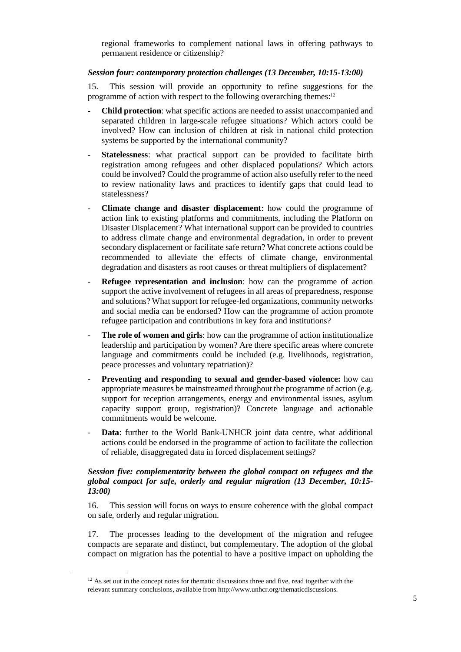regional frameworks to complement national laws in offering pathways to permanent residence or citizenship?

# *Session four: contemporary protection challenges (13 December, 10:15-13:00)*

15. This session will provide an opportunity to refine suggestions for the programme of action with respect to the following overarching themes:<sup>12</sup>

- **Child protection**: what specific actions are needed to assist unaccompanied and separated children in large-scale refugee situations? Which actors could be involved? How can inclusion of children at risk in national child protection systems be supported by the international community?
- Statelessness: what practical support can be provided to facilitate birth registration among refugees and other displaced populations? Which actors could be involved? Could the programme of action also usefully refer to the need to review nationality laws and practices to identify gaps that could lead to statelessness?
- **Climate change and disaster displacement**: how could the programme of action link to existing platforms and commitments, including the Platform on Disaster Displacement? What international support can be provided to countries to address climate change and environmental degradation, in order to prevent secondary displacement or facilitate safe return? What concrete actions could be recommended to alleviate the effects of climate change, environmental degradation and disasters as root causes or threat multipliers of displacement?
- **Refugee representation and inclusion**: how can the programme of action support the active involvement of refugees in all areas of preparedness, response and solutions? What support for refugee-led organizations, community networks and social media can be endorsed? How can the programme of action promote refugee participation and contributions in key fora and institutions?
- The role of women and girls: how can the programme of action institutionalize leadership and participation by women? Are there specific areas where concrete language and commitments could be included (e.g. livelihoods, registration, peace processes and voluntary repatriation)?
- Preventing and responding to sexual and gender-based violence: how can appropriate measures be mainstreamed throughout the programme of action (e.g. support for reception arrangements, energy and environmental issues, asylum capacity support group, registration)? Concrete language and actionable commitments would be welcome.
- Data: further to the World Bank-UNHCR joint data centre, what additional actions could be endorsed in the programme of action to facilitate the collection of reliable, disaggregated data in forced displacement settings?

### *Session five: complementarity between the global compact on refugees and the global compact for safe, orderly and regular migration (13 December, 10:15- 13:00)*

16. This session will focus on ways to ensure coherence with the global compact on safe, orderly and regular migration.

17. The processes leading to the development of the migration and refugee compacts are separate and distinct, but complementary. The adoption of the global compact on migration has the potential to have a positive impact on upholding the

 $12$  As set out in the concept notes for thematic discussions three and five, read together with the relevant summary conclusions, available from [http://www.unhcr.org/thematicdiscussions.](http://www.unhcr.org/thematicdiscussions-for-the-global-compact-on-refugees.html.)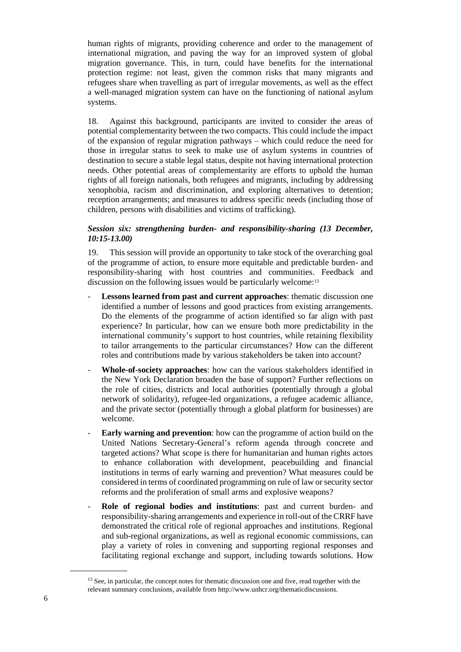human rights of migrants, providing coherence and order to the management of international migration, and paving the way for an improved system of global migration governance. This, in turn, could have benefits for the international protection regime: not least, given the common risks that many migrants and refugees share when travelling as part of irregular movements, as well as the effect a well-managed migration system can have on the functioning of national asylum systems.

18. Against this background, participants are invited to consider the areas of potential complementarity between the two compacts. This could include the impact of the expansion of regular migration pathways – which could reduce the need for those in irregular status to seek to make use of asylum systems in countries of destination to secure a stable legal status, despite not having international protection needs. Other potential areas of complementarity are efforts to uphold the human rights of all foreign nationals, both refugees and migrants, including by addressing xenophobia, racism and discrimination, and exploring alternatives to detention; reception arrangements; and measures to address specific needs (including those of children, persons with disabilities and victims of trafficking).

# *Session six: strengthening burden- and responsibility-sharing (13 December, 10:15-13.00)*

19. This session will provide an opportunity to take stock of the overarching goal of the programme of action, to ensure more equitable and predictable burden- and responsibility-sharing with host countries and communities. Feedback and discussion on the following issues would be particularly welcome: 13

- Lessons learned from past and current approaches: thematic discussion one identified a number of lessons and good practices from existing arrangements. Do the elements of the programme of action identified so far align with past experience? In particular, how can we ensure both more predictability in the international community's support to host countries, while retaining flexibility to tailor arrangements to the particular circumstances? How can the different roles and contributions made by various stakeholders be taken into account?
- **Whole-of-society approaches**: how can the various stakeholders identified in the New York Declaration broaden the base of support? Further reflections on the role of cities, districts and local authorities (potentially through a global network of solidarity), refugee-led organizations, a refugee academic alliance, and the private sector (potentially through a global platform for businesses) are welcome.
- **Early warning and prevention**: how can the programme of action build on the United Nations Secretary-General's reform agenda through concrete and targeted actions? What scope is there for humanitarian and human rights actors to enhance collaboration with development, peacebuilding and financial institutions in terms of early warning and prevention? What measures could be considered in terms of coordinated programming on rule of law or security sector reforms and the proliferation of small arms and explosive weapons?
- **Role of regional bodies and institutions**: past and current burden- and responsibility-sharing arrangements and experience in roll-out of the CRRF have demonstrated the critical role of regional approaches and institutions. Regional and sub-regional organizations, as well as regional economic commissions, can play a variety of roles in convening and supporting regional responses and facilitating regional exchange and support, including towards solutions. How

<sup>&</sup>lt;sup>13</sup> See, in particular, the concept notes for thematic discussion one and five, read together with the relevant summary conclusions, available from [http://www.unhcr.org/thematicdiscussions.](http://www.unhcr.org/thematicdiscussions-for-the-global-compact-on-refugees.html.)